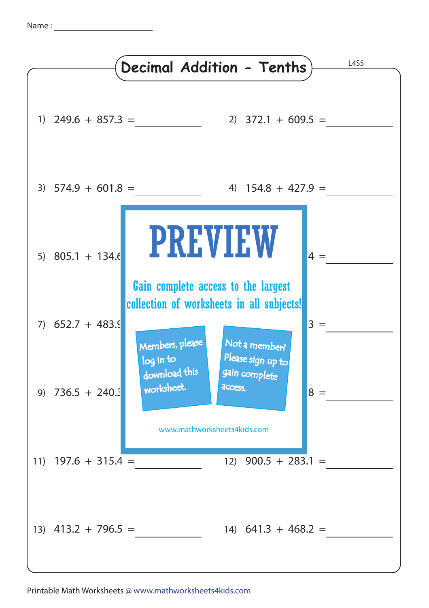